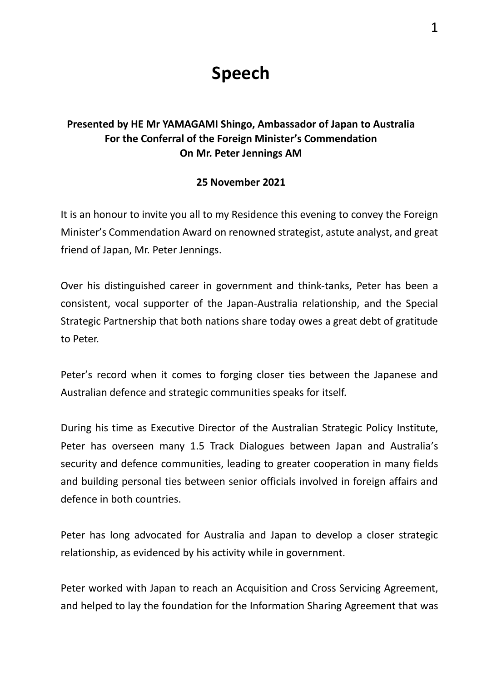## **Speech**

## **Presented by HE Mr YAMAGAMI Shingo, Ambassador of Japan to Australia For the Conferral of the Foreign Minister's Commendation On Mr. Peter Jennings AM**

## **25 November 2021**

It is an honour to invite you all to my Residence this evening to convey the Foreign Minister's Commendation Award on renowned strategist, astute analyst, and great friend of Japan, Mr. Peter Jennings.

Over his distinguished career in government and think-tanks, Peter has been a consistent, vocal supporter of the Japan-Australia relationship, and the Special Strategic Partnership that both nations share today owes a great debt of gratitude to Peter.

Peter's record when it comes to forging closer ties between the Japanese and Australian defence and strategic communities speaks for itself.

During his time as Executive Director of the Australian Strategic Policy Institute, Peter has overseen many 1.5 Track Dialogues between Japan and Australia's security and defence communities, leading to greater cooperation in many fields and building personal ties between senior officials involved in foreign affairs and defence in both countries.

Peter has long advocated for Australia and Japan to develop a closer strategic relationship, as evidenced by his activity while in government.

Peter worked with Japan to reach an Acquisition and Cross Servicing Agreement, and helped to lay the foundation for the Information Sharing Agreement that was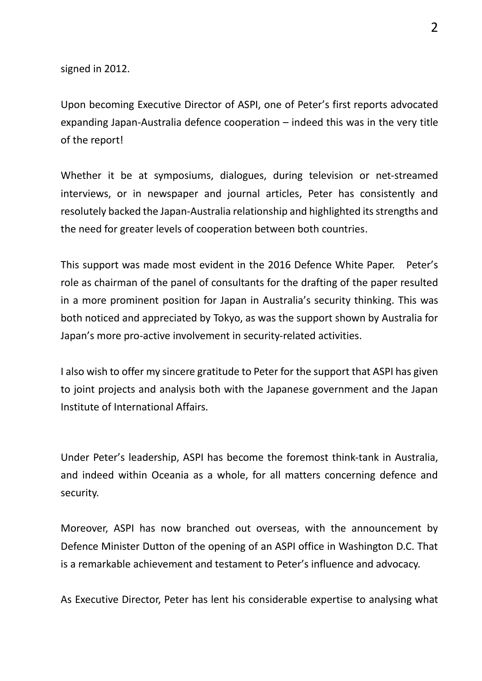signed in 2012.

Upon becoming Executive Director of ASPI, one of Peter's first reports advocated expanding Japan-Australia defence cooperation – indeed this was in the very title of the report!

Whether it be at symposiums, dialogues, during television or net-streamed interviews, or in newspaper and journal articles, Peter has consistently and resolutely backed the Japan-Australia relationship and highlighted its strengths and the need for greater levels of cooperation between both countries.

This support was made most evident in the 2016 Defence White Paper. Peter's role as chairman of the panel of consultants for the drafting of the paper resulted in a more prominent position for Japan in Australia's security thinking. This was both noticed and appreciated by Tokyo, as was the support shown by Australia for Japan's more pro-active involvement in security-related activities.

I also wish to offer my sincere gratitude to Peter for the support that ASPI has given to joint projects and analysis both with the Japanese government and the Japan Institute of International Affairs.

Under Peter's leadership, ASPI has become the foremost think-tank in Australia, and indeed within Oceania as a whole, for all matters concerning defence and security.

Moreover, ASPI has now branched out overseas, with the announcement by Defence Minister Dutton of the opening of an ASPI office in Washington D.C. That is a remarkable achievement and testament to Peter's influence and advocacy.

As Executive Director, Peter has lent his considerable expertise to analysing what